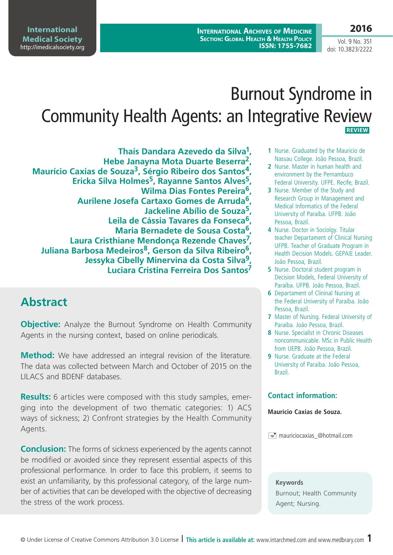**International Medical Society**  <http://imedicalsociety.org>

# Burnout Syndrome in Community Health Agents: an Integrative Review  **REVIEW**

**Thaís Dandara Azevedo da Silva1, Hebe Janayna Mota Duarte Beserra2, Maurício Caxias de Souza3, Sérgio Ribeiro dos Santos4, Ericka Silva Holmes5, Rayanne Santos Alves5, Wilma Dias Fontes Pereira6, Aurilene Josefa Cartaxo Gomes de Arruda6, Jackeline Abílio de Souza5, Leila de Cássia Tavares da Fonseca6, Maria Bernadete de Sousa Costa6, Laura Cristhiane Mendonça Rezende Chaves7, Juliana Barbosa Medeiros8, Gerson da Silva Ribeiro6, Jessyka Cibelly Minervina da Costa Silva9, Luciara Cristina Ferreira Dos Santos7**

# **Abstract**

**Objective:** Analyze the Burnout Syndrome on Health Community Agents in the nursing context, based on online periodicals.

**Method:** We have addressed an integral revision of the literature. The data was collected between March and October of 2015 on the LILACS and BDENF databases.

**Results:** 6 articles were composed with this study samples, emerging into the development of two thematic categories: 1) ACS ways of sickness; 2) Confront strategies by the Health Community Agents.

**Conclusion:** The forms of sickness experienced by the agents cannot be modified or avoided since they represent essential aspects of this professional performance. In order to face this problem, it seems to exist an unfamiliarity, by this professional category, of the large number of activities that can be developed with the objective of decreasing the stress of the work process.

- **1** Nurse. Graduated by the Mauricio de Nassau College. João Pessoa, Brazil.
- **2** Nurse. Master in human health and environment by the Pernambuco Federal University. UFPE. Recife, Brazil.
- **3** Nurse. Member of the Study and Research Group in Management and Medical Informatics of the Federal University of Paraíba. UFPB. João Pessoa, Brazil.
- **4** Nurse. Doctor in Sociolgy. Titular teacher Departament of Clinical Nursing UFPB. Teacher of Graduate Program in Health Decision Models. GEPAIE Leader. João Pessoa, Brazil.
- **5** Nurse. Doctoral student program in Decision Models, Federal University of Paraíba. UFPB. João Pessoa, Brazil.
- **6** Departament of Clininal Nursing at the Federal University of Paraíba. João Pessoa, Brazil.
- **7** Master of Nursing. Federal University of Paraiba. João Pessoa, Brazil.
- **8** Nurse. Specialist in Chronic Diseases noncommunicable. MSc in Public Health from UEPB. João Pessoa, Brazil.
- **9** Nurse. Graduate at the Federal University of Paraíba. João Pessoa, Brazil.

### **Contact information:**

#### **Maurício Caxias de Souza.**

 $\equiv$  mauriciocaxias @hotmail.com

#### **Keywords**

Burnout; Health Community Agent; Nursing.

# **2016**

Vol. 9 No. 351 doi: 10.3823/2222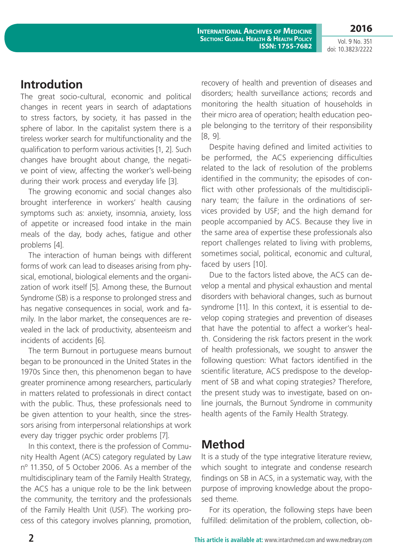**2016**

## **Introdution**

The great socio-cultural, economic and political changes in recent years in search of adaptations to stress factors, by society, it has passed in the sphere of labor. In the capitalist system there is a tireless worker search for multifunctionality and the qualification to perform various activities [1, 2]. Such changes have brought about change, the negative point of view, affecting the worker's well-being during their work process and everyday life [3].

The growing economic and social changes also brought interference in workers' health causing symptoms such as: anxiety, insomnia, anxiety, loss of appetite or increased food intake in the main meals of the day, body aches, fatigue and other problems [4].

The interaction of human beings with different forms of work can lead to diseases arising from physical, emotional, biological elements and the organization of work itself [5]. Among these, the Burnout Syndrome (SB) is a response to prolonged stress and has negative consequences in social, work and family. In the labor market, the consequences are revealed in the lack of productivity, absenteeism and incidents of accidents [6].

The term Burnout in portuguese means burnout began to be pronounced in the United States in the 1970s Since then, this phenomenon began to have greater prominence among researchers, particularly in matters related to professionals in direct contact with the public. Thus, these professionals need to be given attention to your health, since the stressors arising from interpersonal relationships at work every day trigger psychic order problems [7].

In this context, there is the profession of Community Health Agent (ACS) category regulated by Law nº 11.350, of 5 October 2006. As a member of the multidisciplinary team of the Family Health Strategy, the ACS has a unique role to be the link between the community, the territory and the professionals of the Family Health Unit (USF). The working process of this category involves planning, promotion, recovery of health and prevention of diseases and disorders; health surveillance actions; records and monitoring the health situation of households in their micro area of operation; health education people belonging to the territory of their responsibility [8, 9].

Despite having defined and limited activities to be performed, the ACS experiencing difficulties related to the lack of resolution of the problems identified in the community; the episodes of conflict with other professionals of the multidisciplinary team; the failure in the ordinations of services provided by USF; and the high demand for people accompanied by ACS. Because they live in the same area of expertise these professionals also report challenges related to living with problems, sometimes social, political, economic and cultural, faced by users [10].

Due to the factors listed above, the ACS can develop a mental and physical exhaustion and mental disorders with behavioral changes, such as burnout syndrome [11]. In this context, it is essential to develop coping strategies and prevention of diseases that have the potential to affect a worker's health. Considering the risk factors present in the work of health professionals, we sought to answer the following question: What factors identified in the scientific literature, ACS predispose to the development of SB and what coping strategies? Therefore, the present study was to investigate, based on online journals, the Burnout Syndrome in community health agents of the Family Health Strategy.

# **Method**

It is a study of the type integrative literature review, which sought to integrate and condense research findings on SB in ACS, in a systematic way, with the purpose of improving knowledge about the proposed theme.

For its operation, the following steps have been fulfilled: delimitation of the problem, collection, ob-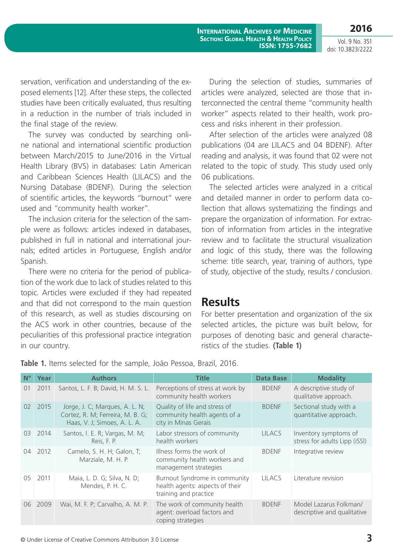**2016**

Vol. 9 No. 351 doi: 10.3823/2222

servation, verification and understanding of the exposed elements [12]. After these steps, the collected studies have been critically evaluated, thus resulting in a reduction in the number of trials included in the final stage of the review.

The survey was conducted by searching online national and international scientific production between March/2015 to June/2016 in the Virtual Health Library (BVS) in databases: Latin American and Caribbean Sciences Health (LILACS) and the Nursing Database (BDENF). During the selection of scientific articles, the keywords "burnout" were used and "community health worker".

The inclusion criteria for the selection of the sample were as follows: articles indexed in databases, published in full in national and international journals; edited articles in Portuguese, English and/or Spanish.

There were no criteria for the period of publication of the work due to lack of studies related to this topic. Articles were excluded if they had repeated and that did not correspond to the main question of this research, as well as studies discoursing on the ACS work in other countries, because of the peculiarities of this professional practice integration in our country.

During the selection of studies, summaries of articles were analyzed, selected are those that interconnected the central theme "community health worker" aspects related to their health, work process and risks inherent in their profession.

After selection of the articles were analyzed 08 publications (04 are LILACS and 04 BDENF). After reading and analysis, it was found that 02 were not related to the topic of study. This study used only 06 publications.

The selected articles were analyzed in a critical and detailed manner in order to perform data collection that allows systematizing the findings and prepare the organization of information. For extraction of information from articles in the integrative review and to facilitate the structural visualization and logic of this study, there was the following scheme: title search, year, training of authors, type of study, objective of the study, results / conclusion.

### **Results**

For better presentation and organization of the six selected articles, the picture was built below, for purposes of denoting basic and general characteristics of the studies. **(Table 1)**

| $N^{\circ}$ | Year | <b>Authors</b>                                                                                     | <b>Title</b>                                                                              | <b>Data Base</b> | <b>Modality</b>                                        |
|-------------|------|----------------------------------------------------------------------------------------------------|-------------------------------------------------------------------------------------------|------------------|--------------------------------------------------------|
| 01          | 2011 | Santos, L. F. B; David, H. M. S. L.                                                                | Perceptions of stress at work by<br>community health workers                              | <b>BDENF</b>     | A descriptive study of<br>qualitative approach.        |
| 02          | 2015 | Jorge, J. C; Marques, A. L. N;<br>Cortez, R. M; Ferreira, M. B. G;<br>Haas, V. J; Simoes, A. L. A. | Quality of life and stress of<br>community health agents of a<br>city in Minas Gerais     | <b>BDENF</b>     | Sectional study with a<br>quantitative approach.       |
| 03          | 2014 | Santos, I. E. R; Vargas, M. M;<br>Reis, F. P.                                                      | Labor stressors of community<br>health workers                                            | <b>LILACS</b>    | Inventory symptoms of<br>stress for adults Lipp (iSSI) |
| 04          | 2012 | Camelo, S. H. H; Galon, T;<br>Marziale, M. H. P.                                                   | Illness forms the work of<br>community health workers and<br>management strategies        | <b>BDENF</b>     | Integrative review                                     |
| 05          | 2011 | Maia, L. D. G; Silva, N. D;<br>Mendes, P. H. C.                                                    | Burnout Syndrome in community<br>health agents: aspects of their<br>training and practice | <b>LILACS</b>    | Literature revision                                    |
| 06          | 2009 | Wai, M. F. P; Carvalho, A. M. P.                                                                   | The work of community health<br>agent: overload factors and<br>coping strategies          | <b>BDENF</b>     | Model Lazarus Folkman/<br>descriptive and qualitative  |

**Table 1.** Items selected for the sample, João Pessoa, Brazil, 2016.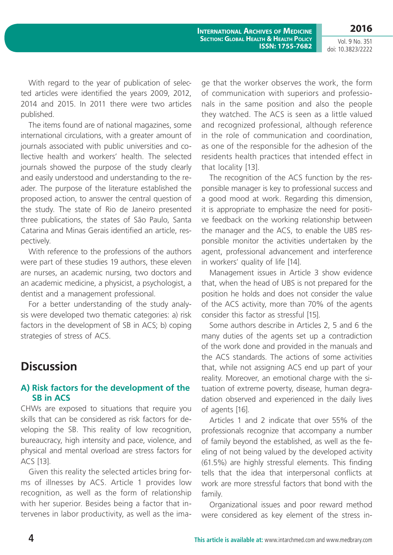**2016** Vol. 9 No. 351

doi: 10.3823/2222

With regard to the year of publication of selected articles were identified the years 2009, 2012, 2014 and 2015. In 2011 there were two articles published.

The items found are of national magazines, some international circulations, with a greater amount of journals associated with public universities and collective health and workers' health. The selected journals showed the purpose of the study clearly and easily understood and understanding to the reader. The purpose of the literature established the proposed action, to answer the central question of the study. The state of Rio de Janeiro presented three publications, the states of São Paulo, Santa Catarina and Minas Gerais identified an article, respectively.

With reference to the professions of the authors were part of these studies 19 authors, these eleven are nurses, an academic nursing, two doctors and an academic medicine, a physicist, a psychologist, a dentist and a management professional.

For a better understanding of the study analysis were developed two thematic categories: a) risk factors in the development of SB in ACS; b) coping strategies of stress of ACS.

# **Discussion**

### **A) Risk factors for the development of the SB in ACS**

CHWs are exposed to situations that require you skills that can be considered as risk factors for developing the SB. This reality of low recognition, bureaucracy, high intensity and pace, violence, and physical and mental overload are stress factors for ACS [13].

Given this reality the selected articles bring forms of illnesses by ACS. Article 1 provides low recognition, as well as the form of relationship with her superior. Besides being a factor that intervenes in labor productivity, as well as the image that the worker observes the work, the form of communication with superiors and professionals in the same position and also the people they watched. The ACS is seen as a little valued and recognized professional, although reference in the role of communication and coordination, as one of the responsible for the adhesion of the residents health practices that intended effect in that locality [13].

The recognition of the ACS function by the responsible manager is key to professional success and a good mood at work. Regarding this dimension, it is appropriate to emphasize the need for positive feedback on the working relationship between the manager and the ACS, to enable the UBS responsible monitor the activities undertaken by the agent, professional advancement and interference in workers' quality of life [14].

Management issues in Article 3 show evidence that, when the head of UBS is not prepared for the position he holds and does not consider the value of the ACS activity, more than 70% of the agents consider this factor as stressful [15].

Some authors describe in Articles 2, 5 and 6 the many duties of the agents set up a contradiction of the work done and provided in the manuals and the ACS standards. The actions of some activities that, while not assigning ACS end up part of your reality. Moreover, an emotional charge with the situation of extreme poverty, disease, human degradation observed and experienced in the daily lives of agents [16].

Articles 1 and 2 indicate that over 55% of the professionals recognize that accompany a number of family beyond the established, as well as the feeling of not being valued by the developed activity (61.5%) are highly stressful elements. This finding tells that the idea that interpersonal conflicts at work are more stressful factors that bond with the family.

Organizational issues and poor reward method were considered as key element of the stress in-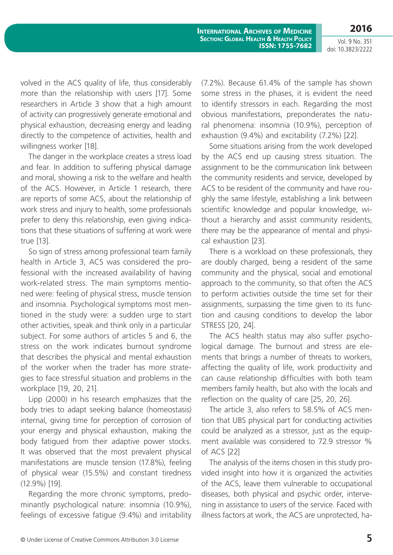**International Archives of Medicine Section: Global Health & Health Policy ISSN: 1755-7682**

Vol. 9 No. 351 doi: 10.3823/2222

**2016**

volved in the ACS quality of life, thus considerably more than the relationship with users [17]. Some researchers in Article 3 show that a high amount of activity can progressively generate emotional and physical exhaustion, decreasing energy and leading directly to the competence of activities, health and willingness worker [18].

The danger in the workplace creates a stress load and fear. In addition to suffering physical damage and moral, showing a risk to the welfare and health of the ACS. However, in Article 1 research, there are reports of some ACS, about the relationship of work stress and injury to health, some professionals prefer to deny this relationship, even giving indications that these situations of suffering at work were true [13].

So sign of stress among professional team family health in Article 3, ACS was considered the professional with the increased availability of having work-related stress. The main symptoms mentioned were: feeling of physical stress, muscle tension and insomnia. Psychological symptoms most mentioned in the study were: a sudden urge to start other activities, speak and think only in a particular subject. For some authors of articles 5 and 6, the stress on the work indicates burnout syndrome that describes the physical and mental exhaustion of the worker when the trader has more strategies to face stressful situation and problems in the workplace [19, 20, 21].

Lipp (2000) in his research emphasizes that the body tries to adapt seeking balance (homeostasis) internal, giving time for perception of corrosion of your energy and physical exhaustion, making the body fatigued from their adaptive power stocks. It was observed that the most prevalent physical manifestations are muscle tension (17.8%), feeling of physical wear (15.5%) and constant tiredness (12.9%) [19].

Regarding the more chronic symptoms, predominantly psychological nature: insomnia (10.9%), feelings of excessive fatigue (9.4%) and irritability (7.2%). Because 61.4% of the sample has shown some stress in the phases, it is evident the need to identify stressors in each. Regarding the most obvious manifestations, preponderates the natural phenomena: insomnia (10.9%), perception of exhaustion (9.4%) and excitability (7.2%) [22].

Some situations arising from the work developed by the ACS end up causing stress situation. The assignment to be the communication link between the community residents and service, developed by ACS to be resident of the community and have roughly the same lifestyle, establishing a link between scientific knowledge and popular knowledge, without a hierarchy and assist community residents, there may be the appearance of mental and physical exhaustion [23].

There is a workload on these professionals, they are doubly charged, being a resident of the same community and the physical, social and emotional approach to the community, so that often the ACS to perform activities outside the time set for their assignments, surpassing the time given to its function and causing conditions to develop the labor STRESS [20, 24].

The ACS health status may also suffer psychological damage. The burnout and stress are elements that brings a number of threats to workers, affecting the quality of life, work productivity and can cause relationship difficulties with both team members family health, but also with the locals and reflection on the quality of care [25, 20, 26].

The article 3, also refers to 58.5% of ACS mention that UBS physical part for conducting activities could be analyzed as a stressor, just as the equipment available was considered to 72.9 stressor % of ACS [22]

The analysis of the items chosen in this study provided insight into how it is organized the activities of the ACS, leave them vulnerable to occupational diseases, both physical and psychic order, intervening in assistance to users of the service. Faced with illness factors at work, the ACS are unprotected, ha-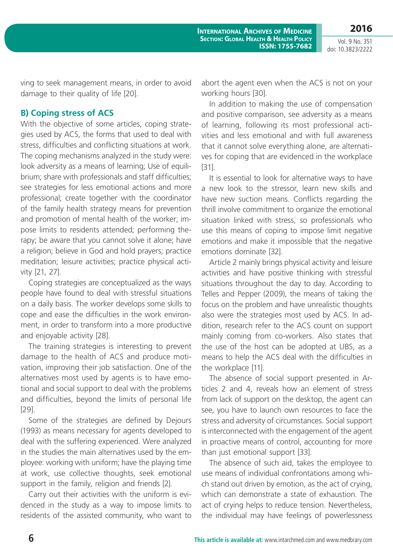**2016**

ving to seek management means, in order to avoid damage to their quality of life [20].

#### **B) Coping stress of ACS**

With the objective of some articles, coping strategies used by ACS, the forms that used to deal with stress, difficulties and conflicting situations at work. The coping mechanisms analyzed in the study were: look adversity as a means of learning; Use of equilibrium; share with professionals and staff difficulties; see strategies for less emotional actions and more professional; create together with the coordinator of the family health strategy means for prevention and promotion of mental health of the worker; impose limits to residents attended; performing therapy; be aware that you cannot solve it alone; have a religion; believe in God and hold prayers; practice meditation; leisure activities; practice physical activity [21, 27].

Coping strategies are conceptualized as the ways people have found to deal with stressful situations on a daily basis. The worker develops some skills to cope and ease the difficulties in the work environment, in order to transform into a more productive and enjoyable activity [28].

The training strategies is interesting to prevent damage to the health of ACS and produce motivation, improving their job satisfaction. One of the alternatives most used by agents is to have emotional and social support to deal with the problems and difficulties, beyond the limits of personal life [29].

Some of the strategies are defined by Dejours (1993) as means necessary for agents developed to deal with the suffering experienced. Were analyzed in the studies the main alternatives used by the employee: working with uniform; have the playing time at work, use collective thoughts, seek emotional support in the family, religion and friends [2].

Carry out their activities with the uniform is evidenced in the study as a way to impose limits to residents of the assisted community, who want to abort the agent even when the ACS is not on your working hours [30].

**ISSN: 1755-7682**

**International Archives of Medicine Section: Global Health & Health Policy**

In addition to making the use of compensation and positive comparison, see adversity as a means of learning, following its most professional activities and less emotional and with full awareness that it cannot solve everything alone, are alternatives for coping that are evidenced in the workplace [31].

It is essential to look for alternative ways to have a new look to the stressor, learn new skills and have new suction means. Conflicts regarding the thrill involve commitment to organize the emotional situation linked with stress, so professionals who use this means of coping to impose limit negative emotions and make it impossible that the negative emotions dominate [32].

Article 2 mainly brings physical activity and leisure activities and have positive thinking with stressful situations throughout the day to day. According to Telles and Pepper (2009), the means of taking the focus on the problem and have unrealistic thoughts also were the strategies most used by ACS. In addition, research refer to the ACS count on support mainly coming from co-workers. Also states that the use of the host can be adopted at UBS, as a means to help the ACS deal with the difficulties in the workplace [11].

The absence of social support presented in Articles 2 and 4, reveals how an element of stress from lack of support on the desktop, the agent can see, you have to launch own resources to face the stress and adversity of circumstances. Social support is interconnected with the engagement of the agent in proactive means of control, accounting for more than just emotional support [33].

The absence of such aid, takes the employee to use means of individual confrontations among which stand out driven by emotion, as the act of crying, which can demonstrate a state of exhaustion. The act of crying helps to reduce tension. Nevertheless, the individual may have feelings of powerlessness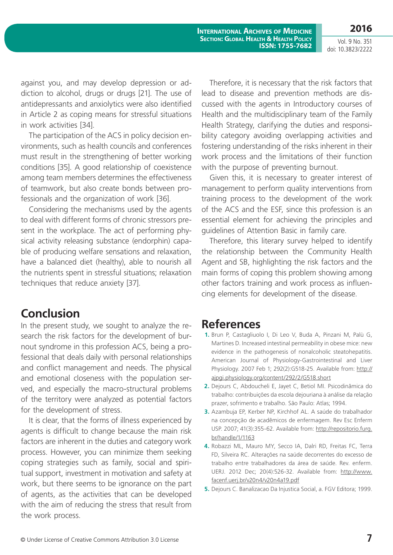against you, and may develop depression or addiction to alcohol, drugs or drugs [21]. The use of antidepressants and anxiolytics were also identified in Article 2 as coping means for stressful situations in work activities [34].

The participation of the ACS in policy decision environments, such as health councils and conferences must result in the strengthening of better working conditions [35]. A good relationship of coexistence among team members determines the effectiveness of teamwork, but also create bonds between professionals and the organization of work [36].

Considering the mechanisms used by the agents to deal with different forms of chronic stressors present in the workplace. The act of performing physical activity releasing substance (endorphin) capable of producing welfare sensations and relaxation, have a balanced diet (healthy), able to nourish all the nutrients spent in stressful situations; relaxation techniques that reduce anxiety [37].

# **Conclusion**

In the present study, we sought to analyze the research the risk factors for the development of burnout syndrome in this profession ACS, being a professional that deals daily with personal relationships and conflict management and needs. The physical and emotional closeness with the population served, and especially the macro-structural problems of the territory were analyzed as potential factors for the development of stress.

It is clear, that the forms of illness experienced by agents is difficult to change because the main risk factors are inherent in the duties and category work process. However, you can minimize them seeking coping strategies such as family, social and spiritual support, investment in motivation and safety at work, but there seems to be ignorance on the part of agents, as the activities that can be developed with the aim of reducing the stress that result from the work process.

Therefore, it is necessary that the risk factors that lead to disease and prevention methods are discussed with the agents in Introductory courses of Health and the multidisciplinary team of the Family Health Strategy, clarifying the duties and responsibility category avoiding overlapping activities and fostering understanding of the risks inherent in their work process and the limitations of their function with the purpose of preventing burnout.

Given this, it is necessary to greater interest of management to perform quality interventions from training process to the development of the work of the ACS and the ESF, since this profession is an essential element for achieving the principles and guidelines of Attention Basic in family care.

Therefore, this literary survey helped to identify the relationship between the Community Health Agent and SB, highlighting the risk factors and the main forms of coping this problem showing among other factors training and work process as influencing elements for development of the disease.

# **References**

- **1.** Brun P, Castagliuolo I, Di Leo V, Buda A, Pinzani M, Palù G, Martines D. Increased intestinal permeability in obese mice: new evidence in the pathogenesis of nonalcoholic steatohepatitis. American Journal of Physiology-Gastrointestinal and Liver Physiology. 2007 Feb 1; 292(2):G518-25. Available from: [http://](http://ajpgi.physiology.org/content/292/2/G518.short) [ajpgi.physiology.org/content/292/2/G518.short](http://ajpgi.physiology.org/content/292/2/G518.short)
- **2.** Dejours C, Abdoucheli E, Jayet C, Betiol MI. Psicodinâmica do trabalho: contribuições da escola dejouriana à análise da relação prazer, sofrimento e trabalho. São Paulo: Atlas; 1994.
- **3.** Azambuja EP, Kerber NP, Kirchhof AL. A saúde do trabalhador na concepção de acadêmicos de enfermagem. Rev Esc Enferm USP. 2007; 41(3):355-62. Available from: [http://repositorio.furg.](http://repositorio.furg.br/handle/1/1163) [br/handle/1/1163](http://repositorio.furg.br/handle/1/1163)
- **4.** Robazzi ML, Mauro MY, Secco IA, Dalri RD, Freitas FC, Terra FD, Silveira RC. Alterações na saúde decorrentes do excesso de trabalho entre trabalhadores da área de saúde. Rev. enferm. UERJ. 2012 Dec; 20(4):526-32. Available from: [http://www.](http://www.facenf.uerj.br/v20n4/v20n4a19.pdf) [facenf.uerj.br/v20n4/v20n4a19.pdf](http://www.facenf.uerj.br/v20n4/v20n4a19.pdf)
- **5.** Dejours C. Banalizacao Da Injustica Social, a. FGV Editora; 1999.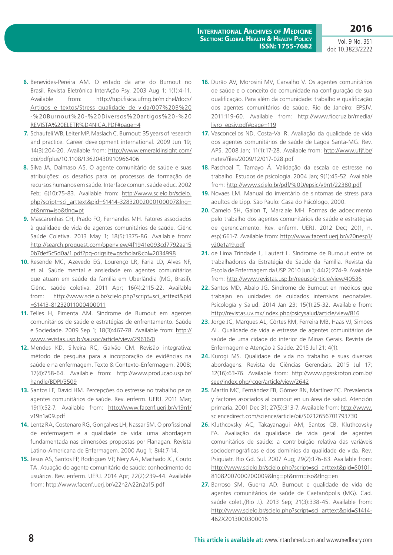- **6.** Benevides-Pereira AM. O estado da arte do Burnout no Brasil. Revista Eletrônica InterAção Psy. 2003 Aug 1; 1(1):4-11. Available from: [http://tupi.fisica.ufmg.br/michel/docs/](http://tupi.fisica.ufmg.br/michel/docs/Artigos_e_textos/Stress_qualidade_de_vida/007%20B%20-%20Burnout%20-%20Diversos%20artigos%20-%20REVISTA%20ELETR%D4NICA.PDF#page=4) Artigos e textos/Stress\_qualidade\_de\_vida/007%20B%20 [-%20Burnout%20-%20Diversos%20artigos%20-%20](http://tupi.fisica.ufmg.br/michel/docs/Artigos_e_textos/Stress_qualidade_de_vida/007%20B%20-%20Burnout%20-%20Diversos%20artigos%20-%20REVISTA%20ELETR%D4NICA.PDF#page=4) [REVISTA%20ELETR%D4NICA.PDF#page=4](http://tupi.fisica.ufmg.br/michel/docs/Artigos_e_textos/Stress_qualidade_de_vida/007%20B%20-%20Burnout%20-%20Diversos%20artigos%20-%20REVISTA%20ELETR%D4NICA.PDF#page=4)
- **7.** Schaufeli WB, Leiter MP, Maslach C. Burnout: 35 years of research and practice. Career development international. 2009 Jun 19; 14(3):204-20. Available from: [http://www.emeraldinsight.com/](http://www.emeraldinsight.com/doi/pdfplus/10.1108/13620430910966406) [doi/pdfplus/10.1108/13620430910966406](http://www.emeraldinsight.com/doi/pdfplus/10.1108/13620430910966406)
- **8.** Silva JA, Dalmaso AS. O agente comunitário de saúde e suas atribuiçöes: os desafios para os processos de formaçäo de recursos humanos em saúde. Interface comun. saúde educ. 2002 Feb; 6(10):75-83. Available from: [http://www.scielo.br/scielo.](http://www.scielo.br/scielo.php?script=sci_arttext&pid=S1414-32832002000100007&lng=pt&nrm=iso&tlng=pt) [php?script=sci\\_arttext&pid=S1414-32832002000100007&lng=](http://www.scielo.br/scielo.php?script=sci_arttext&pid=S1414-32832002000100007&lng=pt&nrm=iso&tlng=pt) [pt&nrm=iso&tlng=pt](http://www.scielo.br/scielo.php?script=sci_arttext&pid=S1414-32832002000100007&lng=pt&nrm=iso&tlng=pt)
- **9.** Mascarenhas CH, Prado FO, Fernandes MH. Fatores associados à qualidade de vida de agentes comunitários de saúde. Ciênc Saúde Coletiva. 2013 May 1; 18(5):1375-86. Available from: [http://search.proquest.com/openview/4f1941e093cd7792aa15](http://search.proquest.com/openview/4f1941e093cd7792aa150b7def5c5d0a/1.pdf?pq-origsite=gscholar&cbl=2034998) [0b7def5c5d0a/1.pdf?pq-origsite=gscholar&cbl=2034998](http://search.proquest.com/openview/4f1941e093cd7792aa150b7def5c5d0a/1.pdf?pq-origsite=gscholar&cbl=2034998)
- **10.** Resende MC, Azevedo EG, Lourenço LR, Faria LD, Alves NF, et al. Saúde mental e ansiedade em agentes comunitários que atuam em saúde da família em Uberlândia (MG, Brasil). Ciênc. saúde coletiva. 2011 Apr; 16(4):2115-22. Available from: [http://www.scielo.br/scielo.php?script=sci\\_arttext&pid](http://www.scielo.br/scielo.php?script=sci_arttext&pid=S1413-81232011000400011) [=S1413-81232011000400011](http://www.scielo.br/scielo.php?script=sci_arttext&pid=S1413-81232011000400011)
- **11.** Telles H, Pimenta AM. Síndrome de Burnout em agentes comunitários de saúde e estratégias de enfrentamento. Saúde e Sociedade. 2009 Sep 1; 18(3):467-78. Available from: [http://](http://www.revistas.usp.br/sausoc/article/view/29616/0) [www.revistas.usp.br/sausoc/article/view/29616/0](http://www.revistas.usp.br/sausoc/article/view/29616/0)
- **12.** Mendes KD, Silveira RC, Galvão CM. Revisão integrativa: método de pesquisa para a incorporação de evidências na saúde e na enfermagem. Texto & Contexto-Enfermagem. 2008; 17(4):758-64. Available from: [http://www.producao.usp.br/](http://www.producao.usp.br/handle/BDPI/3509) [handle/BDPI/3509](http://www.producao.usp.br/handle/BDPI/3509)
- **13.** Santos LF, David HM. Percepções do estresse no trabalho pelos agentes comunitários de saúde. Rev. enferm. UERJ. 2011 Mar; 19(1):52-7. Available from: [http://www.facenf.uerj.br/v19n1/](http://www.facenf.uerj.br/v19n1/v19n1a09.pdf) [v19n1a09.pdf](http://www.facenf.uerj.br/v19n1/v19n1a09.pdf)
- **14.** Lentz RA, Costenaro RG, Gonçalves LH, Nassar SM. O profissional de enfermagem e a qualidade de vida: uma abordagem fundamentada nas dimensões propostas por Flanagan. Revista Latino-Americana de Enfermagem. 2000 Aug 1; 8(4):7-14.
- **15.** Jesus AS, Santos FP, Rodrigues VP, Nery AA, Machado JC, Couto TA. Atuação do agente comunitário de saúde: conhecimento de usuários. Rev. enferm. UERJ. 2014 Apr; 22(2):239-44. Available from:<http://www.facenf.uerj.br/v22n2/v22n2a15.pdf>
- **16.** Durão AV, Morosini MV, Carvalho V. Os agentes comunitários de saúde e o conceito de comunidade na configuração de sua qualificação. Para além da comunidade: trabalho e qualificação dos agentes comunitários de saúde. Rio de Janeiro: EPSJV. 2011:119-60. Available from: http://www.fiocruz.br/media/ livro\_epsjv.pdf#page=119
- **17.** Vasconcellos ND, Costa-Val R. Avaliação da qualidade de vida dos agentes comunitários de saúde de Lagoa Santa-MG. Rev. APS. 2008 Jan; 11(1):17-28. Available from: [http://www.ufjf.br/](http://www.ufjf.br/nates/files/2009/12/017-028.pdf) [nates/files/2009/12/017-028.pdf](http://www.ufjf.br/nates/files/2009/12/017-028.pdf)
- **18.** Paschoal T, Tamayo Á. Validação da escala de estresse no trabalho. Estudos de psicologia. 2004 Jan; 9(1):45-52. Available from:<http://www.scielo.br/pdf/%0D/epsic/v9n1/22380.pdf>
- **19.** Novaes LM. Manual do inventário de sintomas de stress para adultos de Lipp. São Paulo: Casa do Psicólogo, 2000.
- **20.** Camelo SH, Galon T, Marziale MH. Formas de adoecimento pelo trabalho dos agentes comunitários de saúde e estratégias de gerenciamento. Rev. enferm. UERJ. 2012 Dec; 20(1, n. esp):661-7. Available from: [http://www.facenf.uerj.br/v20nesp1/](http://www.facenf.uerj.br/v20nesp1/v20e1a19.pdf) [v20e1a19.pdf](http://www.facenf.uerj.br/v20nesp1/v20e1a19.pdf)
- **21.** de Lima Trindade L, Lautert L. Síndrome de Burnout entre os trabalhadores da Estratégia de Saúde da Família. Revista da Escola de Enfermagem da USP. 2010 Jun 1; 44(2):274-9. Available from:<http://www.revistas.usp.br/reeusp/article/view/40536>
- **22.** Santos MD, Abalo JG. Síndrome de Burnout en médicos que trabajan en unidades de cuidados intensivos neonatales. Psicología y Salud. 2014 Jan 23; 15(1):25-32. Available from: <http://revistas.uv.mx/index.php/psicysalud/article/view/816>
- **23.** Jorge JC, Marques AL, Côrtes RM, Ferreira MB, Haas VJ, Simões AL. Qualidade de vida e estresse de agentes comunitários de saúde de uma cidade do interior de Minas Gerais. Revista de Enfermagem e Atenção à Saúde. 2015 Jul 21; 4(1).
- **24.** Kurogi MS. Qualidade de vida no trabalho e suas diversas abordagens. Revista de Ciências Gerenciais. 2015 Jul 17; 12(16):63-76. Available from: [http://www.pgsskroton.com.br/](http://www.pgsskroton.com.br/seer/index.php/rcger/article/view/2642) [seer/index.php/rcger/article/view/2642](http://www.pgsskroton.com.br/seer/index.php/rcger/article/view/2642)
- **25.** Martín MC, Fernández FB, Gómez RN, Martínez FC. Prevalencia y factores asociados al burnout en un área de salud. Atención primaria. 2001 Dec 31; 27(5):313-7. Available from: [http://www.](http://www.sciencedirect.com/science/article/pii/S0212656701793730) [sciencedirect.com/science/article/pii/S0212656701793730](http://www.sciencedirect.com/science/article/pii/S0212656701793730)
- **26.** Kluthcovsky AC, Takayanagui AM, Santos CB, Kluthcovsky FA. Avaliação da qualidade de vida geral de agentes comunitários de saúde: a contribuição relativa das variáveis sociodemográficas e dos domínios da qualidade de vida. Rev. Psiquiatr. Rio Gd. Sul. 2007 Aug; 29(2):176-83. Available from: [http://www.scielo.br/scielo.php?script=sci\\_arttext&pid=S0101-](http://www.scielo.br/scielo.php?script=sci_arttext&pid=S0101-81082007000200009&lng=pt&nrm=iso&tlng=en) [81082007000200009&lng=pt&nrm=iso&tlng=en](http://www.scielo.br/scielo.php?script=sci_arttext&pid=S0101-81082007000200009&lng=pt&nrm=iso&tlng=en)
- **27.** Barroso SM, Guerra AD. Burnout e qualidade de vida de agentes comunitários de saúde de Caetanópolis (MG). Cad. saúde colet.,(Rio J.). 2013 Sep; 21(3):338-45. Available from: [http://www.scielo.br/scielo.php?script=sci\\_arttext&pid=S1414-](http://www.scielo.br/scielo.php?script=sci_arttext&pid=S1414-462X2013000300016) [462X2013000300016](http://www.scielo.br/scielo.php?script=sci_arttext&pid=S1414-462X2013000300016)